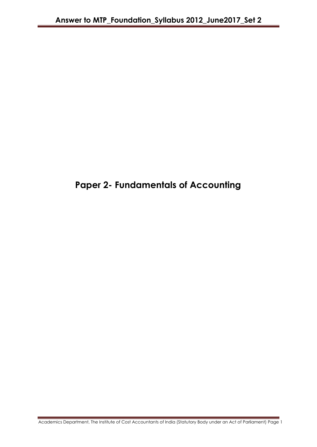# **Paper 2- Fundamentals of Accounting**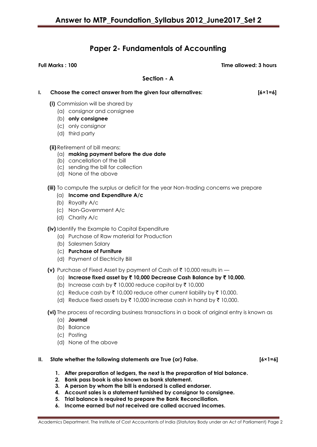# **Paper 2- Fundamentals of Accounting**

**Full Marks : 100 Time allowed: 3 hours**

**Section - A**

| I. |          | Choose the correct answer from the given four alternatives:                                                                                                                                                                                                                                                                                                                    | $[6 \times 1 = 6]$ |
|----|----------|--------------------------------------------------------------------------------------------------------------------------------------------------------------------------------------------------------------------------------------------------------------------------------------------------------------------------------------------------------------------------------|--------------------|
|    |          | (i) Commission will be shared by<br>(a) consignor and consignee<br>(b) only consignee<br>(c) only consignor<br>(d) third party                                                                                                                                                                                                                                                 |                    |
|    |          | (ii) Retirement of bill means:<br>$(a)$ making payment before the due date<br>(b) cancellation of the bill<br>(c) sending the bill for collection<br>(d) None of the above                                                                                                                                                                                                     |                    |
|    |          | (iii) To compute the surplus or deficit for the year Non-trading concerns we prepare<br>$(a)$ Income and Expenditure A/c<br>(b) Royalty A/c<br>(c) Non-Government A/c<br>(d) Charity A/c                                                                                                                                                                                       |                    |
|    |          | (iv) Identify the Example to Capital Expenditure<br>(a) Purchase of Raw material for Production<br>(b) Salesmen Salary<br>(c) Purchase of Furniture<br>(d) Payment of Electricity Bill                                                                                                                                                                                         |                    |
|    |          | (v) Purchase of Fixed Asset by payment of Cash of $\bar{\tau}$ 10,000 results in $-$<br>(a) Increase fixed asset by ₹10,000 Decrease Cash Balance by ₹10,000.<br>(b) Increase cash by ₹ 10,000 reduce capital by ₹ 10,000<br>(c) Reduce cash by ₹ 10,000 reduce other current liability by ₹ 10,000.<br>(d) Reduce fixed assets by ₹ 10,000 increase cash in hand by ₹ 10,000. |                    |
|    |          | (vi) The process of recording business transactions in a book of original entry is known as<br>$(a)$ Journal<br>(b) Balance<br>(c) Posting<br>(d) None of the above                                                                                                                                                                                                            |                    |
| Ш. | 1.<br>2. | State whether the following statements are True (or) False.<br>After preparation of ledgers, the next is the preparation of trial balance.<br>Bank pass book is also known as bank statement.<br>3. A person by whom the bill is endorsed is called endorser.<br>Account sales is a statement furnished by consigner to consigned                                              | $[6 \times 1 = 6]$ |

- **4. Account sales is a statement furnished by consignor to consignee.**
- **5. Trial balance is required to prepare the Bank Reconciliation.**
- **6. Income earned but not received are called accrued incomes.**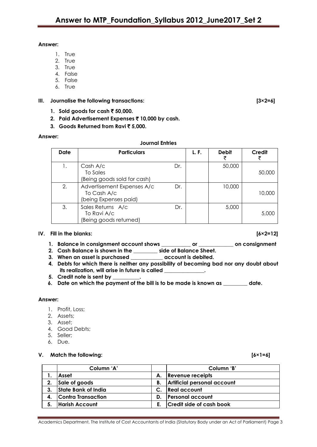#### **Answer:**

- 1. True
- 2. True
- 3. True
- 4. False
- 5. False
- 6. True

## **III. Journalise the following transactions: [3×2=6]**

- **1. Sold goods for cash ₹ 50,000.**
- **2. Paid Advertisement Expenses** ` **10,000 by cash.**
- **3.** Goods Returned from Ravi₹5,000.

## **Answer:**

# **Journal Entries**

| <b>Date</b> | <b>Particulars</b>                                                 |     | L. F. | <b>Debit</b> | Credit |
|-------------|--------------------------------------------------------------------|-----|-------|--------------|--------|
|             | Cash A/c<br>To Sales<br>(Being goods sold for cash)                | Dr. |       | 50,000       | 50,000 |
| 2.          | Advertisement Expenses A/c<br>To Cash A/c<br>(being Expenses paid) | Dr. |       | 10,000       | 10,000 |
| 3.          | Sales Returns A/c<br>To Ravi A/c<br>(Being goods returned)         | Dr. |       | 5,000        | 5,000  |

### **IV. Fill in the blanks: [6×2=12]**

- **1. Balance in consignment account shows \_\_\_\_\_\_\_\_\_\_\_ or \_\_\_\_\_\_\_\_\_\_\_\_\_ on consignment**
- **2. Cash Balance is shown in the \_\_\_\_\_\_\_\_\_ side of Balance Sheet.**
- **3. When an asset is purchased \_\_\_\_\_\_\_\_\_\_\_\_ account is debited.**
- **4. Debts for which there is neither any possibility of becoming bad nor any doubt about**  its realization, will arise in future is called
- **5. Credit note is sent by \_\_\_\_\_\_\_\_\_\_.**
- **6. Date on which the payment of the bill is to be made is known as \_\_\_\_\_\_\_\_\_ date.**

### **Answer:**

- 1. Profit, Loss;
- 2. Assets;
- 3. Asset;
- 4. Good Debts;
- 5. Seller;
- 6. Due.

### **V. Match the following: [6×1=6]**

|    | Column 'A'            |                | Column 'B'                      |
|----|-----------------------|----------------|---------------------------------|
|    | Asset                 | А.             | <b>Revenue receipts</b>         |
| 2. | Sale of goods         | В.             | Artificial personal account     |
| 3. | State Bank of India   | $\mathsf{C}$ . | <b>Real account</b>             |
|    | Contra Transaction    | D.             | <b>Personal account</b>         |
| 5. | <b>Harish Account</b> | E.,            | <b>Credit side of cash book</b> |

Academics Department, The Institute of Cost Accountants of India (Statutory Body under an Act of Parliament) Page 3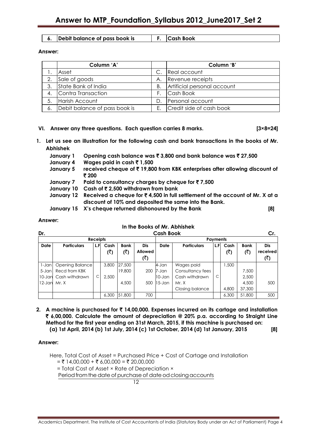#### **6. Debit balance of pass book is F. Cash Book**

#### **Answer:**

|    | Column 'A'                    |    | Column 'B'                  |
|----|-------------------------------|----|-----------------------------|
|    | Asset                         |    | Real account                |
| 2. | Sale of goods                 | А. | Revenue receipts            |
| 3. | State Bank of India           | Β. | Artificial personal account |
|    | 4. Contra Transaction         | F. | Cash Book                   |
| 5. | Harish Account                |    | Personal account            |
| 6. | Debit balance of pass book is | F. | Credit side of cash book    |

### **VI. Answer any three questions. Each question carries 8 marks. [3×8=24]**

- **1. Let us see an illustration for the following cash and bank transactions in the books of Mr. Abhishek** 
	- **January 1 Opening cash balance was** ` **3,800 and bank balance was** ` **27,500**
	- **January 4 Wages paid in cash** ` **1,500**
	- **January 5 received cheque of** ` **19,800 from KBK enterprises after allowing discount of**  ` **200**
	- **January 7 Paid to consultancy charges by cheque for** ` **7,500**
	- **January 10 Cash of** ` **2,500 withdrawn from bank**
	- **January 12 Received a cheque for** ` **4,500 in full settlement of the account of Mr. X at a discount of 10% and deposited the same into the Bank.**
	- **January 15 X's cheque returned dishonoured by the Bank [8]**

#### **Answer:**

### **In the Books of Mr. Abhishek**

| Dr.         |                    |      |       | <b>Cash Book</b> |                |             |                                    | Cr. |       |             |          |
|-------------|--------------------|------|-------|------------------|----------------|-------------|------------------------------------|-----|-------|-------------|----------|
|             | <b>Receipts</b>    |      |       |                  |                |             | <b>Payments</b>                    |     |       |             |          |
| <b>Date</b> | <b>Particulars</b> | L.FI | Cash  | <b>Bank</b>      | <b>Dis</b>     | <b>Date</b> | <b>Particulars</b><br>L.FI<br>Cash |     |       | <b>Bank</b> | Dis      |
|             |                    |      | (₹)   | (₹)              | <b>Allowed</b> |             |                                    |     | (₹)   | (₹)         | received |
|             |                    |      |       |                  | (ব)            |             |                                    |     |       |             | (<)      |
| 1-Jan       | Opening Balance    |      | 3,800 | 27,500           |                | 4-Jan       | Wages paid                         |     | 1,500 |             |          |
| $5 -$ Jan   | Recd from KBK      |      |       | 19,800           | 200            | 7-Jan       | Consultancy fees                   |     |       | 7,500       |          |
| $10 - Jan$  | Cash withdrawn     | C    | 2,500 |                  |                | $10 - Jan$  | Cash withdrawn                     | С   |       | 2,500       |          |
| $12$ -Jan   | Mr. X              |      |       | 4,500            | 500            | $15 - Jan$  | Mr. X                              |     |       | 4,500       | 500      |
|             |                    |      |       |                  |                |             | Closing balance                    |     | 4,800 | 37,300      |          |
|             |                    |      | 6,300 | 51,800           | 700            |             |                                    |     | 6,300 | 51,800      | 500      |

**2. A machine is purchased for** ` **14,00,000. Expenses incurred on its cartage and installation**  ` **6,00,000. Calculate the amount of depreciation @ 20% p.a. according to Straight Line Method for the first year ending on 31st March, 2015, if this machine is purchased on: (a) 1st April, 2014 (b) 1st July, 2014 (c) 1st October, 2014 (d) 1st January, 2015 [8]**

### **Answer:**

Here, Total Cost of Asset = Purchased Price + Cost of Cartage and Installation  $=$  ₹ 14,00,000 + ₹ 6,00,000 = ₹ 20,00,000

= Total Cost of Asset × Rate of Depreciation ×

Period from the date of purchase of date od closing accounts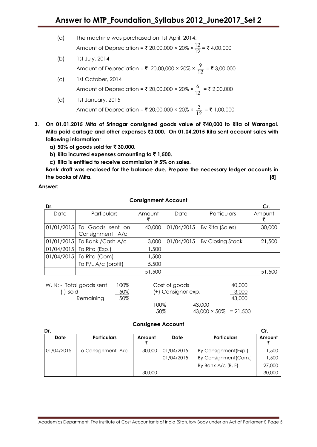- (a) The machine was purchased on 1st April, 2014: Amount of Depreciation = ₹ 20,00,000 × 20% ×  $\frac{12}{10}$  $\frac{12}{12}$  = ₹ 4,00,000
- (b) 1st July, 2014 Amount of Depreciation =  $\overline{\xi}$  20,00,000 × 20% ×  $\frac{9}{10}$  $\frac{7}{12}$  = ₹ 3,00,000
- (c) 1st October, 2014 Amount of Depreciation = ₹ 20,00,000 × 20% ×  $\frac{6}{10}$  $\frac{0}{12}$  = ₹ 2,00,000
- (d) 1st January, 2015 Amount of Depreciation =  $\binom{1}{2}$  20,00,000 × 20% ×  $\frac{3}{16}$  $\frac{3}{12}$  = ₹ 1,00,000
- **3. On 01.01.2015 Mita of Srinagar consigned goods value of** `**40,000 to Rita of Warangal. Mita paid cartage and other expenses** `**3,000. On 01.04.2015 Rita sent account sales with following information:**
	- **a) 50% of goods sold for** ` **30,000.**
	- **b)** Rita incurred expenses amounting to  $\bar{z}$  1,500.
	- **c) Rita is entitled to receive commission @ 5% on sales.**

**Bank draft was enclosed for the balance due. Prepare the necessary ledger accounts in the books of Mita. [8]**

**Answer:**

# **Consignment Account**

| Dr.  |                                                |        |            |                  | Cr.    |
|------|------------------------------------------------|--------|------------|------------------|--------|
| Date | Particulars                                    | Amount | Date       | Particulars      | Amount |
|      | 01/01/2015 To Goods sent on<br>Consignment A/c | 40,000 | 01/04/2015 | By Rita (Sales)  | 30,000 |
|      | 01/01/2015 To Bank / Cash A/c                  | 3,000  | 01/04/2015 | By Closing Stock | 21,500 |
|      | $01/04/2015$ To Rita (Exp.)                    | 1,500  |            |                  |        |
|      | 01/04/2015 To Rita (Com)                       | 1,500  |            |                  |        |
|      | To P/L A/c (profit)                            | 5,500  |            |                  |        |
|      |                                                | 51,500 |            |                  | 51,500 |

| W. N: - Total goods sent | 100% | Cost of goods      |                               | 40,000 |
|--------------------------|------|--------------------|-------------------------------|--------|
| (-) Sold                 | 50%  | (+) Consignor exp. |                               | 3,000  |
| Remaining                | 50%  |                    |                               | 43,000 |
|                          |      | 100%               | 43,000                        |        |
|                          |      | 50%                | $43,000 \times 50\% = 21,500$ |        |

### **Consignee Account**

| Dr.        |                    |        |            |                       |        |
|------------|--------------------|--------|------------|-----------------------|--------|
| Date       | <b>Particulars</b> | Amount | Date       | <b>Particulars</b>    | Amount |
| 01/04/2015 | To Consignment A/c | 30,000 | 01/04/2015 | By Consignment (Exp.) | ,500   |
|            |                    |        | 01/04/2015 | By Consignment (Com.) | ,500   |
|            |                    |        |            | By Bank $A/C$ (B. F)  | 27,000 |
|            |                    | 30,000 |            |                       | 30,000 |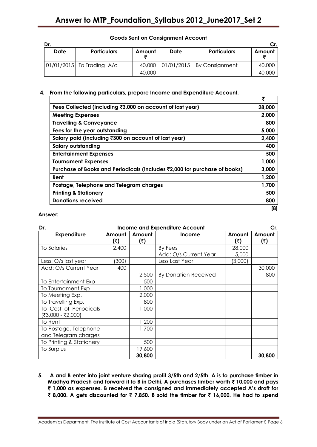| Dr.  |                           |        |      |                                     |        |  |  |
|------|---------------------------|--------|------|-------------------------------------|--------|--|--|
| Date | <b>Particulars</b>        | Amount | Date | <b>Particulars</b>                  | Amount |  |  |
|      | 01/01/2015 To Trading A/c | 40,000 |      | $\vert$ 01/01/2015   By Consignment | 40,000 |  |  |
|      |                           | 40,000 |      |                                     | 40,000 |  |  |

# **Goods Sent on Consignment Account**

## **4. From the following particulars, prepare Income and Expenditure Account.**

|                                                                           | ₹      |
|---------------------------------------------------------------------------|--------|
| Fees Collected (including ₹3,000 on account of last year)                 | 28,000 |
| <b>Meeting Expenses</b>                                                   | 2,000  |
| <b>Travelling &amp; Conveyance</b>                                        | 800    |
| Fees for the year outstanding                                             | 5,000  |
| Salary paid (including ₹300 on account of last year)                      | 2,400  |
| <b>Salary outstanding</b>                                                 | 400    |
| <b>Entertainment Expenses</b>                                             | 500    |
| <b>Tournament Expenses</b>                                                | 1,000  |
| Purchase of Books and Periodicals (includes ₹2,000 for purchase of books) | 3,000  |
| Rent                                                                      | 1,200  |
| Postage, Telephone and Telegram charges                                   | 1,700  |
| <b>Printing &amp; Stationery</b>                                          | 500    |
| <b>Donations received</b>                                                 | 800    |
|                                                                           | [8]    |

#### **Answer:**

| Dr.                      | <b>Income and Expenditure Account</b> |        |                             |         |        |  |
|--------------------------|---------------------------------------|--------|-----------------------------|---------|--------|--|
| <b>Expenditure</b>       | Amount                                | Amount | <b>Income</b>               | Amount  | Amount |  |
|                          | (₹)                                   | (₹)    |                             | (₹)     | (₹)    |  |
| To Salaries              | 2,400                                 |        | By Fees                     | 28,000  |        |  |
|                          |                                       |        | Add: O/s Current Year       | 5,000   |        |  |
| Less: O/s last year      | (300)                                 |        | Less Last Year              | (3,000) |        |  |
| Add: O/s Current Year    | 400                                   |        |                             |         | 30,000 |  |
|                          |                                       | 2,500  | <b>By Donation Received</b> |         | 800    |  |
| To Entertainment Exp     |                                       | 500    |                             |         |        |  |
| To Tournament Exp        |                                       | 1,000  |                             |         |        |  |
| To Meeting Exp.          |                                       | 2,000  |                             |         |        |  |
| To Travelling Exp.       |                                       | 800    |                             |         |        |  |
| To Cost of Periodicals   |                                       | 1,000  |                             |         |        |  |
| (₹3,000 - ₹2,000)        |                                       |        |                             |         |        |  |
| To Rent                  |                                       | 1,200  |                             |         |        |  |
| To Postage, Telephone    |                                       | 1,700  |                             |         |        |  |
| and Telegram charges     |                                       |        |                             |         |        |  |
| To Printing & Stationery |                                       | 500    |                             |         |        |  |
| To Surplus               |                                       | 19,600 |                             |         |        |  |
|                          |                                       | 30,800 |                             |         | 30,800 |  |

**5. A and B enter into joint venture sharing profit 3/5th and 2/5th. A is to purchase timber in Madhya Pradesh and forward it to B in Delhi. A purchases timber worth** ` **10,000 and pays**  ` **1,000 as expenses. B received the consigned and immediately accepted A's draft for**  ` **8,000. A gets discounted for** ` **7,850. B sold the timber for** ` **16,000. He had to spend** 

Academics Department, The Institute of Cost Accountants of India (Statutory Body under an Act of Parliament) Page 6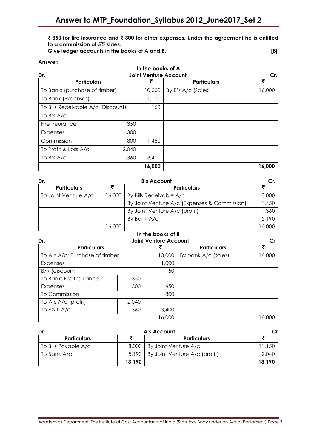` **350 for fire insurance and** ` **300 for other expenses. Under the agreement he is entitled to a commission of 5% slaes.**

| Give ledger accounts in the books of A and B. |  |
|-----------------------------------------------|--|
|-----------------------------------------------|--|

#### **Answer:**

|                                            |       | In the books of A |                    |        |  |
|--------------------------------------------|-------|-------------------|--------------------|--------|--|
| Dr.<br><b>Joint Venture Account</b><br>Cr. |       |                   |                    |        |  |
| <b>Particulars</b>                         |       |                   | <b>Particulars</b> | ₹      |  |
| To Bank: (purchase of timber)              |       | 10,000            | By B's A/c (Sales) | 16,000 |  |
| To Bank (Expenses)                         |       | 1,000             |                    |        |  |
| To Bills Receivable A/c (Discount)         |       | 150               |                    |        |  |
| To $B$ 's $A/C$ :                          |       |                   |                    |        |  |
| Fire Insurance                             | 350   |                   |                    |        |  |
| Expenses                                   | 300   |                   |                    |        |  |
| Commission                                 | 800   | 1,450             |                    |        |  |
| To Profit & Loss A/c                       | 2,040 |                   |                    |        |  |
| To $B's A/c$                               | 1,360 | 3,400             |                    |        |  |
|                                            |       | 16,000            |                    | 16,000 |  |

| Dr.                  |        | <b>B's Account</b>                           | Cr.    |  |
|----------------------|--------|----------------------------------------------|--------|--|
| <b>Particulars</b>   |        | <b>Particulars</b>                           |        |  |
| To Joint Venture A/c | 16,000 | By Bills Receivable A/c                      | 8,000  |  |
|                      |        | By Joint Venture A/c (Expenses & Commission) | 1,450  |  |
|                      |        | By Joint Venture A/c (profit)                | 1,360  |  |
|                      |        | By Bank A/c                                  | 5,190  |  |
|                      | 16,000 |                                              | 16,000 |  |

| In the books of B                                    |                              |        |                     |             |
|------------------------------------------------------|------------------------------|--------|---------------------|-------------|
| Dr.                                                  | <b>Joint Venture Account</b> | Cr.    |                     |             |
| <b>Particulars</b><br>To A's A/c: Purchase of timber |                              |        | <b>Particulars</b>  | ₹<br>16,000 |
|                                                      |                              | 10,000 | By bank A/c (sales) |             |
| Expenses                                             |                              | 1,000  |                     |             |
| B/R (discount)                                       |                              | 50     |                     |             |
| To Bank: Fire Insurance                              | 350                          |        |                     |             |
| Expenses                                             | 300                          | 650    |                     |             |
| To Commission                                        |                              | 800    |                     |             |
| To A's A/c (profit)                                  | 2,040                        |        |                     |             |
| To P& L A/c<br>1,360                                 |                              | 3,400  |                     |             |
|                                                      |                              | 16,000 |                     | 16,000      |

| Dr                   |        | A's Account                           |        |  |
|----------------------|--------|---------------------------------------|--------|--|
| <b>Particulars</b>   |        | <b>Particulars</b>                    |        |  |
| To Bills Payable A/c |        | 8,000   By Joint Venture A/c          | 11,150 |  |
| To Bank A/c          |        | 5,190   By Joint Venture A/c (profit) | 2,040  |  |
|                      | 13,190 |                                       | 13,190 |  |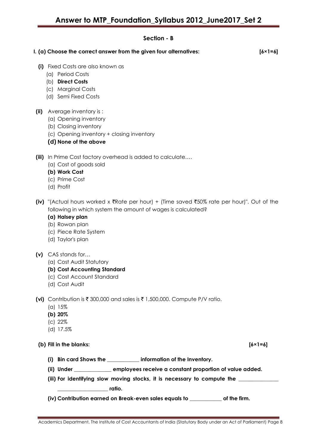# **Section - B**

**I. (a) Choose the correct answer from the given four alternatives: [6×1=6]**

- **(i)** Fixed Costs are also known as
	- (a) Period Costs
	- (b) **Direct Costs**
	- (c) Marginal Costs
	- (d) Semi Fixed Costs
- **(ii)** Average inventory is :
	- (a) Opening inventory
	- (b) Closing inventory
	- (c) Opening inventory + closing inventory
	- **(d) None of the above**

**(iii)** In Prime Cost factory overhead is added to calculate….

- (a) Cost of goods sold
- **(b) Work Cost**
- (c) Prime Cost
- (d) Profit
- **(iv)** "(Actual hours worked x  $\bar{x}$ Rate per hour) + (Time saved  $\bar{x}$ 50% rate per hour)". Out of the following in which system the amount of wages is calculated?

# **(a) Halsey plan**

- (b) Rowan plan
- (c) Piece Rate System
- (d) Taylor's plan

# **(v)** CAS stands for…

(a) Cost Audit Statutory

# **(b) Cost Accounting Standard**

- (c) Cost Account Standard
- (d) Cost Audit
- **(vi)** Contribution is ₹ 300,000 and sales is ₹ 1,500,000. Compute P/V ratio.
	- (a) 15%
	- **(b) 20%**
	- (c) 22%
	- (d) 17.5%

**(b) Fill in the blanks: [6×1=6]**

- **(i) Bin card Shows the \_\_\_\_\_\_\_\_\_\_\_\_ information of the Inventory.**
- **(ii) Under \_\_\_\_\_\_\_\_\_\_\_\_\_\_ employees receive a constant proportion of value added.**
- (iii) For identifying slow moving stocks, it is necessary to compute the \_\_

**\_\_\_\_\_\_\_\_\_\_\_\_\_\_\_\_\_\_\_ ratio.**

**(iv) Contribution earned on Break-even sales equals to \_\_\_\_\_\_\_\_\_\_\_\_ of the firm.**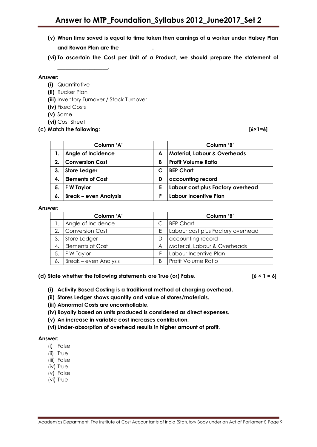**(v) When time saved is equal to time taken then earnings of a worker under Halsey Plan and Rowan Plan are the \_\_\_\_\_\_\_\_\_\_\_\_.** 

**(vi) To ascertain the Cost per Unit of a Product, we should prepare the statement of** 

#### **Answer:**

**(i)** Quantitative

**\_\_\_\_\_\_\_\_\_\_\_\_\_\_\_\_\_\_\_.** 

- **(ii)** Rucker Plan
- **(iii)** Inventory Turnover / Stock Turnover
- **(iv)** Fixed Costs
- **(v)** Same
- **(vi)** Cost Sheet
- **(c) Match the following: [6×1=6]**

|    | Column 'A'                   |   | Column 'B'                              |
|----|------------------------------|---|-----------------------------------------|
|    | Angle of Incidence           | A | <b>Material, Labour &amp; Overheads</b> |
| 2. | <b>Conversion Cost</b>       | В | Profit Volume Ratio                     |
| 3. | <b>Store Ledger</b>          |   | <b>BEP Chart</b>                        |
| 4. | <b>Elements of Cost</b>      | D | accounting record                       |
| 5. | F W Taylor                   | Ε | Labour cost plus Factory overhead       |
| 6. | <b>Break - even Analysis</b> |   | Labour Incentive Plan                   |

#### **Answer:**

|    | Column 'A'                   |   | Column 'B'                        |
|----|------------------------------|---|-----------------------------------|
|    | Angle of Incidence           |   | <b>BEP Chart</b>                  |
| 2. | Conversion Cost              | Ε | Labour cost plus Factory overhead |
| 3. | Store Ledger                 | D | accounting record                 |
| 4. | <b>Elements of Cost</b>      | A | Material, Labour & Overheads      |
| 5. | F W Taylor                   |   | Labour Incentive Plan             |
| 6. | <b>Break – even Analysis</b> | B | Profit Volume Ratio               |

### **(d) State whether the following statements are True (or) False. [6 × 1 = 6]**

- **(i) Activity Based Costing is a traditional method of charging overhead.**
- **(ii) Stores Ledger shows quantity and value of stores/materials.**
- **(iii) Abnormal Costs are uncontrollable.**
- **(iv) Royalty based on units produced is considered as direct expenses.**
- **(v) An increase in variable cost increases contribution.**
- **(vi) Under-absorption of overhead results in higher amount of profit.**

#### **Answer:**

- (i) False
- (ii) True
- (iii) False
- (iv) True
- (v) False
- (vi) True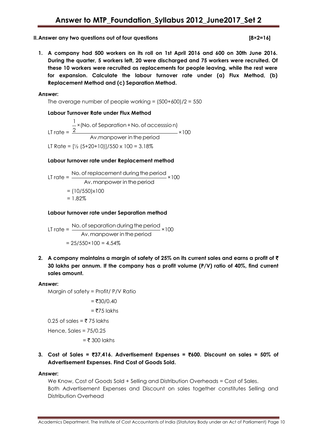### **II. Answer any two questions out of four questions**  $\qquad \qquad$  **[842-255]**

$$
[8\times2=16]
$$

**1. A company had 500 workers on its roll on 1st April 2016 and 600 on 30th June 2016. During the quarter, 5 workers left, 20 were discharged and 75 workers were recruited. Of these 10 workers were recruited as replacements for people leaving, while the rest were for expansion. Calculate the labour turnover rate under (a) Flux Method, (b) Replacement Method and (c) Separation Method.**

#### **Answer:**

The average number of people working =  $(500+600)/2 = 550$ 

# **Labour Turnover Rate under Flux Method**

LT rate = 1 × (No. of Separation + No. of accesssion) 2  $-$  × 100 Av.manpower in the period LT Rate =  $\frac{1}{2}$  (5+20+10)]/550 x 100 = 3.18%

#### **Labour turnover rate under Replacement method**

LT rate = 
$$
\frac{\text{No. of replacement during the period}}{\text{Av. manyower in the period}} \times 100
$$

$$
= (10/550) \times 100
$$

$$
= 1.82\%
$$

#### **Labour turnover rate under Separation method**

LT rate = 
$$
\frac{\text{No. of separation during the period}}{\text{Av. mapower in the period}} \times 100
$$

$$
= 25/550 \times 100 = 4.54\%
$$

**2. A company maintains a margin of safety of 25% on its current sales and earns a profit of** ` **30 lakhs per annum. If the company has a profit volume (P/V) ratio of 40%, find current sales amount.** 

#### **Answer:**

Margin of safety = Profit/ P/V Ratio

 $= ₹30/0.40$ 

 $=$  ₹75 lakhs

0.25 of sales = ₹75 lakhs

Hence, Sales = 75/0.25

 $=$  ₹ 300 lakhs

# **3. Cost of Sales =** `**37,416. Advertisement Expenses =** `**600. Discount on sales = 50% of Advertisement Expenses. Find Cost of Goods Sold.**

#### **Answer:**

We Know, Cost of Goods Sold + Selling and Distribution Overheads = Cost of Sales. Both Advertisement Expenses and Discount on sales together constitutes Selling and Distribution Overhead